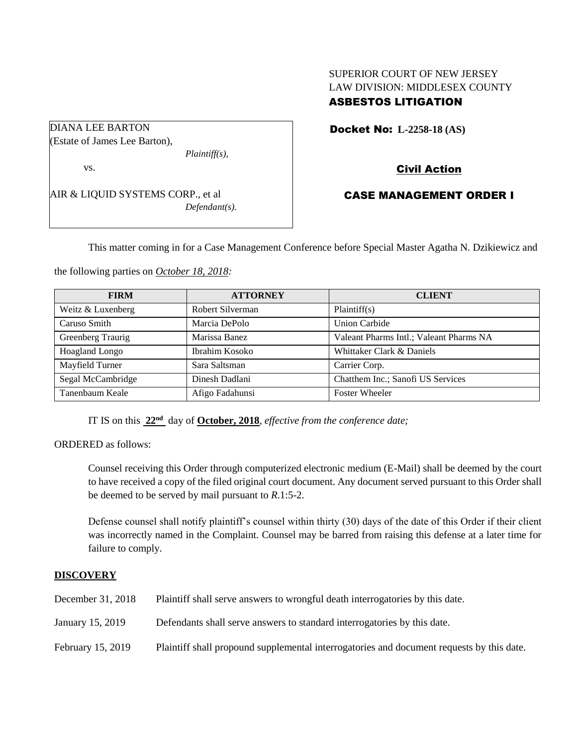# SUPERIOR COURT OF NEW JERSEY LAW DIVISION: MIDDLESEX COUNTY ASBESTOS LITIGATION

Docket No: **L-2258-18 (AS)** 

Civil Action

AIR & LIQUID SYSTEMS CORP., et al *Defendant(s).*

*Plaintiff(s),*

DIANA LEE BARTON (Estate of James Lee Barton),

vs.

CASE MANAGEMENT ORDER I

This matter coming in for a Case Management Conference before Special Master Agatha N. Dzikiewicz and

the following parties on *October 18, 2018:*

| <b>FIRM</b>       | <b>ATTORNEY</b>  | <b>CLIENT</b>                           |
|-------------------|------------------|-----------------------------------------|
| Weitz & Luxenberg | Robert Silverman | Plaintiff(s)                            |
| Caruso Smith      | Marcia DePolo    | <b>Union Carbide</b>                    |
| Greenberg Traurig | Marissa Banez    | Valeant Pharms Intl.; Valeant Pharms NA |
| Hoagland Longo    | Ibrahim Kosoko   | Whittaker Clark & Daniels               |
| Mayfield Turner   | Sara Saltsman    | Carrier Corp.                           |
| Segal McCambridge | Dinesh Dadlani   | Chatthem Inc.; Sanofi US Services       |
| Tanenbaum Keale   | Afigo Fadahunsi  | <b>Foster Wheeler</b>                   |

IT IS on this **22nd** day of **October, 2018**, *effective from the conference date;*

ORDERED as follows:

Counsel receiving this Order through computerized electronic medium (E-Mail) shall be deemed by the court to have received a copy of the filed original court document. Any document served pursuant to this Order shall be deemed to be served by mail pursuant to *R*.1:5-2.

Defense counsel shall notify plaintiff's counsel within thirty (30) days of the date of this Order if their client was incorrectly named in the Complaint. Counsel may be barred from raising this defense at a later time for failure to comply.

## **DISCOVERY**

| December 31, 2018 | Plaintiff shall serve answers to wrongful death interrogatories by this date.             |
|-------------------|-------------------------------------------------------------------------------------------|
| January 15, 2019  | Defendants shall serve answers to standard interrogatories by this date.                  |
| February 15, 2019 | Plaintiff shall propound supplemental interrogatories and document requests by this date. |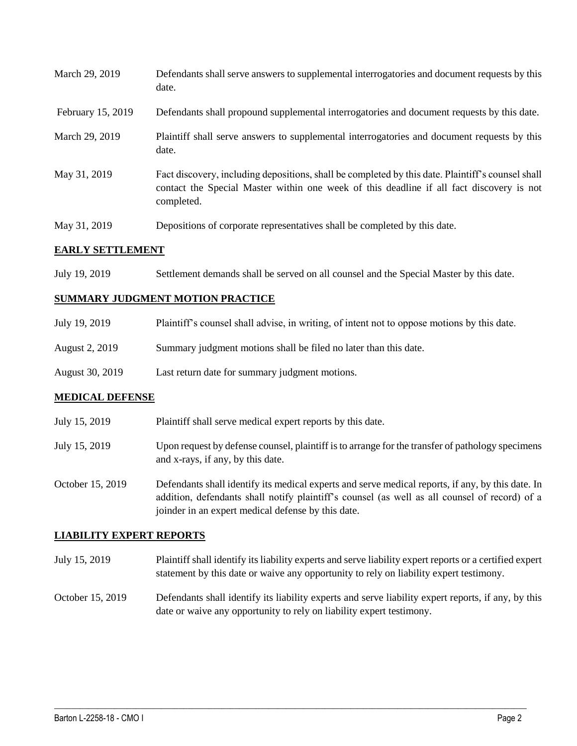| E A DI VZ GEODIU EN CENTR |                                                                                                                                                                                                             |  |
|---------------------------|-------------------------------------------------------------------------------------------------------------------------------------------------------------------------------------------------------------|--|
| May 31, 2019              | Depositions of corporate representatives shall be completed by this date.                                                                                                                                   |  |
| May 31, 2019              | Fact discovery, including depositions, shall be completed by this date. Plaintiff's counsel shall<br>contact the Special Master within one week of this deadline if all fact discovery is not<br>completed. |  |
| March 29, 2019            | Plaintiff shall serve answers to supplemental interrogatories and document requests by this<br>date.                                                                                                        |  |
| February 15, 2019         | Defendants shall propound supplemental interrogatories and document requests by this date.                                                                                                                  |  |
| March 29, 2019            | Defendants shall serve answers to supplemental interrogatories and document requests by this<br>date.                                                                                                       |  |

## **EARLY SETTLEMENT**

July 19, 2019 Settlement demands shall be served on all counsel and the Special Master by this date.

#### **SUMMARY JUDGMENT MOTION PRACTICE**

| July 19, 2019   | Plaintiff's counsel shall advise, in writing, of intent not to oppose motions by this date. |
|-----------------|---------------------------------------------------------------------------------------------|
| August 2, 2019  | Summary judgment motions shall be filed no later than this date.                            |
| August 30, 2019 | Last return date for summary judgment motions.                                              |

#### **MEDICAL DEFENSE**

| July 15, 2019    | Plaintiff shall serve medical expert reports by this date.                                                                                                                                         |
|------------------|----------------------------------------------------------------------------------------------------------------------------------------------------------------------------------------------------|
| July 15, 2019    | Upon request by defense counsel, plaintiff is to arrange for the transfer of pathology specimens<br>and x-rays, if any, by this date.                                                              |
| October 15, 2019 | Defendants shall identify its medical experts and serve medical reports, if any, by this date. In<br>addition, defendants shall notify plaintiff's counsel (as well as all counsel of record) of a |

#### **LIABILITY EXPERT REPORTS**

July 15, 2019 Plaintiff shall identify its liability experts and serve liability expert reports or a certified expert statement by this date or waive any opportunity to rely on liability expert testimony.

joinder in an expert medical defense by this date.

October 15, 2019 Defendants shall identify its liability experts and serve liability expert reports, if any, by this date or waive any opportunity to rely on liability expert testimony.

 $\_$  ,  $\_$  ,  $\_$  ,  $\_$  ,  $\_$  ,  $\_$  ,  $\_$  ,  $\_$  ,  $\_$  ,  $\_$  ,  $\_$  ,  $\_$  ,  $\_$  ,  $\_$  ,  $\_$  ,  $\_$  ,  $\_$  ,  $\_$  ,  $\_$  ,  $\_$  ,  $\_$  ,  $\_$  ,  $\_$  ,  $\_$  ,  $\_$  ,  $\_$  ,  $\_$  ,  $\_$  ,  $\_$  ,  $\_$  ,  $\_$  ,  $\_$  ,  $\_$  ,  $\_$  ,  $\_$  ,  $\_$  ,  $\_$  ,